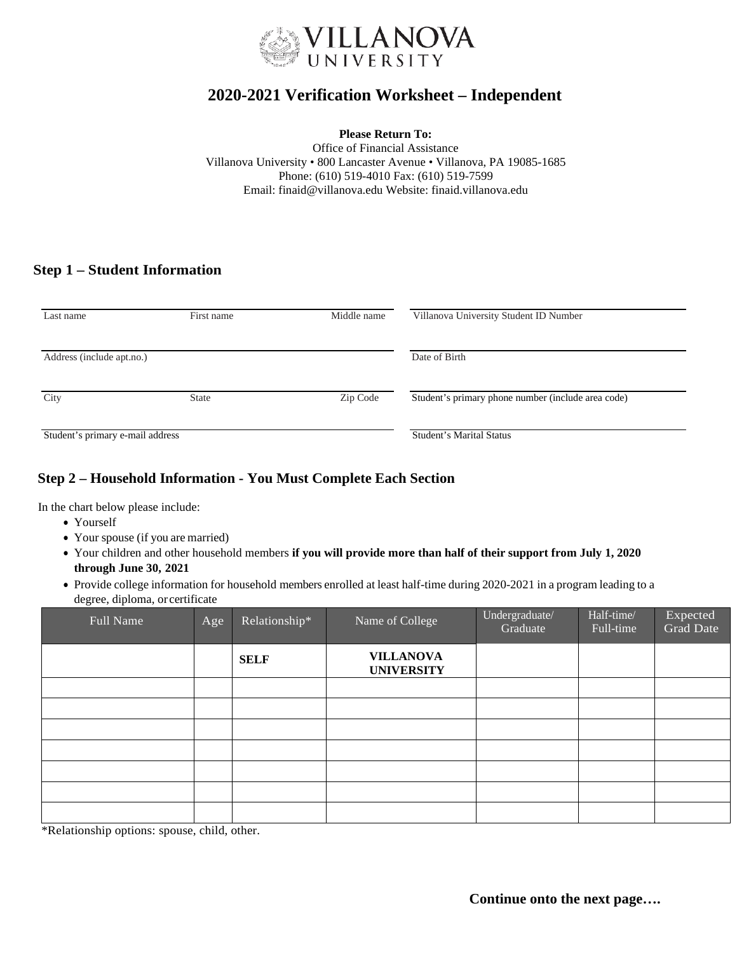

# **2020-2021 Verification Worksheet – Independent**

#### **Please Return To:**

Office of Financial Assistance Villanova University • 800 Lancaster Avenue • Villanova, PA 19085-1685 Phone: (610) 519-4010 Fax: (610) 519-7599 Email: [finaid@villanova.edu](mailto:finaid@villanova.edu) Website: finaid.villanova.edu

# **Step 1 – Student Information**

| Last name                        | First name   | Middle name                     | Villanova University Student ID Number             |  |
|----------------------------------|--------------|---------------------------------|----------------------------------------------------|--|
| Address (include apt.no.)        |              |                                 | Date of Birth                                      |  |
| City                             | <b>State</b> | Zip Code                        | Student's primary phone number (include area code) |  |
| Student's primary e-mail address |              | <b>Student's Marital Status</b> |                                                    |  |

# **Step 2 – Household Information - You Must Complete Each Section**

In the chart below please include:

- Yourself
- Your spouse (if you are married)
- Your children and other household members **if you will provide more than half of their support from July 1, 2020 through June 30, 2021**
- Provide college information for household members enrolled at least half-time during 2020-2021 in a program leading to a degree, diploma, or certificate

| Full Name | Age | Relationship* | Name of College                       | Undergraduate/<br>Graduate | Half-time/<br>Full-time | Expected<br><b>Grad Date</b> |
|-----------|-----|---------------|---------------------------------------|----------------------------|-------------------------|------------------------------|
|           |     | <b>SELF</b>   | <b>VILLANOVA</b><br><b>UNIVERSITY</b> |                            |                         |                              |
|           |     |               |                                       |                            |                         |                              |
|           |     |               |                                       |                            |                         |                              |
|           |     |               |                                       |                            |                         |                              |
|           |     |               |                                       |                            |                         |                              |
|           |     |               |                                       |                            |                         |                              |
|           |     |               |                                       |                            |                         |                              |
|           |     |               |                                       |                            |                         |                              |

\*Relationship options: spouse, child, other.